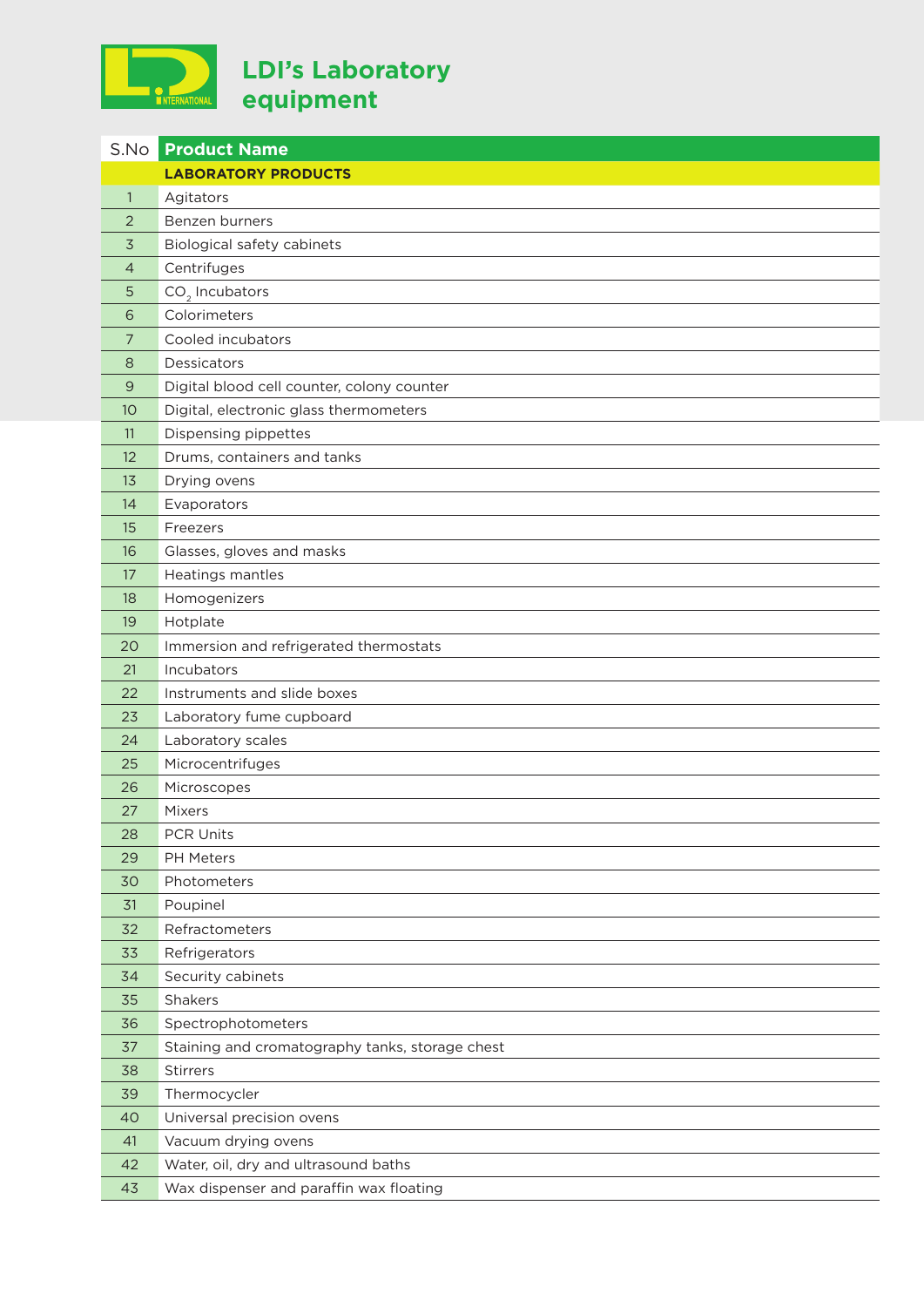

| S.No         | <b>Product Name</b>                             |
|--------------|-------------------------------------------------|
|              | <b>LABORATORY PRODUCTS</b>                      |
| $\mathbf{1}$ | Agitators                                       |
| 2            | Benzen burners                                  |
| 3            | Biological safety cabinets                      |
| 4            | Centrifuges                                     |
| 5            | CO <sub>2</sub> Incubators                      |
| 6            | Colorimeters                                    |
| 7            | Cooled incubators                               |
| 8            | Dessicators                                     |
| 9            | Digital blood cell counter, colony counter      |
| 10           | Digital, electronic glass thermometers          |
| 11           | Dispensing pippettes                            |
| 12           | Drums, containers and tanks                     |
| 13           | Drying ovens                                    |
| 14           | Evaporators                                     |
| 15           | Freezers                                        |
| 16           | Glasses, gloves and masks                       |
| 17           | Heatings mantles                                |
| 18           | Homogenizers                                    |
| 19           | Hotplate                                        |
| 20           | Immersion and refrigerated thermostats          |
| 21           | Incubators                                      |
| 22           | Instruments and slide boxes                     |
| 23           | Laboratory fume cupboard                        |
| 24           | Laboratory scales                               |
| 25           | Microcentrifuges                                |
| 26           | Microscopes                                     |
| 27           | Mixers                                          |
| 28           | PCR Units                                       |
| 29           | <b>PH Meters</b>                                |
| 30           | Photometers                                     |
| 31           | Poupinel                                        |
| 32           | Refractometers                                  |
| 33           | Refrigerators                                   |
| 34           | Security cabinets                               |
| 35           | Shakers                                         |
| 36           | Spectrophotometers                              |
| 37           | Staining and cromatography tanks, storage chest |
| 38           | Stirrers                                        |
| 39           | Thermocycler                                    |
| 40           | Universal precision ovens                       |
| 41           | Vacuum drying ovens                             |
| 42           | Water, oil, dry and ultrasound baths            |
| 43           | Wax dispenser and paraffin wax floating         |